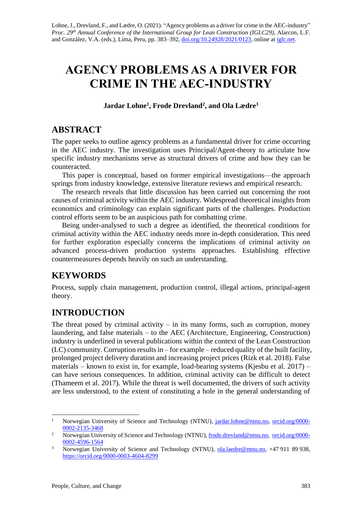# **AGENCY PROBLEMS AS A DRIVER FOR CRIME IN THE AEC-INDUSTRY**

**Jardar Lohne<sup>1</sup> , Frode Drevland<sup>2</sup> , and Ola Lædre<sup>3</sup>**

## **ABSTRACT**

The paper seeks to outline agency problems as a fundamental driver for crime occurring in the AEC industry. The investigation uses Principal/Agent-theory to articulate how specific industry mechanisms serve as structural drivers of crime and how they can be counteracted.

This paper is conceptual, based on former empirical investigations—the approach springs from industry knowledge, extensive literature reviews and empirical research.

The research reveals that little discussion has been carried out concerning the root causes of criminal activity within the AEC industry. Widespread theoretical insights from economics and criminology can explain significant parts of the challenges. Production control efforts seem to be an auspicious path for combatting crime.

Being under-analysed to such a degree as identified, the theoretical conditions for criminal activity within the AEC industry needs more in-depth consideration. This need for further exploration especially concerns the implications of criminal activity on advanced process-driven production systems approaches. Establishing effective countermeasures depends heavily on such an understanding.

# **KEYWORDS**

Process, supply chain management, production control, illegal actions, principal-agent theory.

# **INTRODUCTION**

The threat posed by criminal activity  $-$  in its many forms, such as corruption, money laundering, and false materials – to the AEC (Architecture, Engineering, Construction) industry is underlined in several publications within the context of the Lean Construction (LC) community. Corruption results in – for example – reduced quality of the built facility, prolonged project delivery duration and increasing project prices (Rizk et al. 2018). False materials – known to exist in, for example, load-bearing systems (Kjesbu et al.  $2017$ ) – can have serious consequences. In addition, criminal activity can be difficult to detect (Thameem et al. 2017). While the threat is well documented, the drivers of such activity are less understood, to the extent of constituting a hole in the general understanding of

<sup>&</sup>lt;sup>1</sup> Norwegian University of Science and Technology (NTNU), [jardar.lohne@ntnu.no,](mailto:jardar.lohne@ntnu.no) [orcid.org/0000-](https://orcid.org/0000-0002-2135-3468) [0002-2135-3468](https://orcid.org/0000-0002-2135-3468)

<sup>&</sup>lt;sup>2</sup> Norwegian University of Science and Technology (NTNU), [frode.drevland@ntnu.no,](mailto:frode.drevland@ntnu.no) [orcid.org/0000-](https://orcid.org/0000-0002-4596-1564) [0002-4596-1564](https://orcid.org/0000-0002-4596-1564)

<sup>3</sup> Norwegian University of Science and Technology (NTNU), [ola.laedre@ntnu.no,](mailto:ola.laedre@ntnu.no) +47 911 89 938, <https://orcid.org/0000-0003-4604-8299>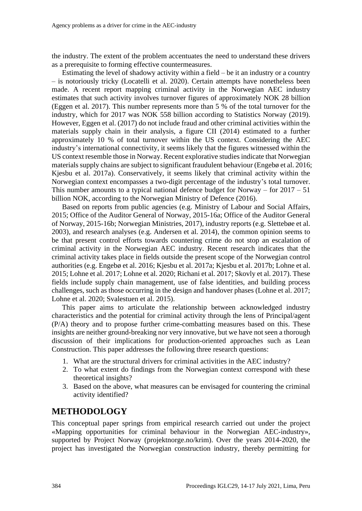the industry. The extent of the problem accentuates the need to understand these drivers as a prerequisite to forming effective countermeasures.

Estimating the level of shadowy activity within a field – be it an industry or a country – is notoriously tricky (Locatelli et al. 2020). Certain attempts have nonetheless been made. A recent report mapping criminal activity in the Norwegian AEC industry estimates that such activity involves turnover figures of approximately NOK 28 billion (Eggen et al. 2017). This number represents more than 5 % of the total turnover for the industry, which for 2017 was NOK 558 billion according to Statistics Norway (2019). However, Eggen et al. (2017) do not include fraud and other criminal activities within the materials supply chain in their analysis, a figure CII (2014) estimated to a further approximately 10 % of total turnover within the US context. Considering the AEC industry's international connectivity, it seems likely that the figures witnessed within the US context resemble those in Norway. Recent explorative studies indicate that Norwegian materials supply chains are subject to significant fraudulent behaviour (Engebø et al. 2016; Kjesbu et al. 2017a). Conservatively, it seems likely that criminal activity within the Norwegian context encompasses a two-digit percentage of the industry's total turnover. This number amounts to a typical national defence budget for Norway – for  $2017 - 51$ billion NOK, according to the Norwegian Ministry of Defence (2016).

Based on reports from public agencies (e.g. Ministry of Labour and Social Affairs, 2015; Office of the Auditor General of Norway, 2015-16a; Office of the Auditor General of Norway, 2015-16b; Norwegian Ministries, 2017), industry reports (e.g. Slettebøe et al. 2003), and research analyses (e.g. Andersen et al. 2014), the common opinion seems to be that present control efforts towards countering crime do not stop an escalation of criminal activity in the Norwegian AEC industry. Recent research indicates that the criminal activity takes place in fields outside the present scope of the Norwegian control authorities (e.g. Engebø et al. 2016; Kjesbu et al. 2017a; Kjesbu et al. 2017b; Lohne et al. 2015; Lohne et al. 2017; Lohne et al. 2020; Richani et al. 2017; Skovly et al. 2017). These fields include supply chain management, use of false identities, and building process challenges, such as those occurring in the design and handover phases (Lohne et al. 2017; Lohne et al. 2020; Svalestuen et al. 2015).

This paper aims to articulate the relationship between acknowledged industry characteristics and the potential for criminal activity through the lens of Principal/agent (P/A) theory and to propose further crime-combatting measures based on this. These insights are neither ground-breaking nor very innovative, but we have not seen a thorough discussion of their implications for production-oriented approaches such as Lean Construction. This paper addresses the following three research questions:

- 1. What are the structural drivers for criminal activities in the AEC industry?
- 2. To what extent do findings from the Norwegian context correspond with these theoretical insights?
- 3. Based on the above, what measures can be envisaged for countering the criminal activity identified?

#### **METHODOLOGY**

This conceptual paper springs from empirical research carried out under the project «Mapping opportunities for criminal behaviour in the Norwegian AEC-industry», supported by Project Norway (projektnorge.no/krim). Over the years 2014-2020, the project has investigated the Norwegian construction industry, thereby permitting for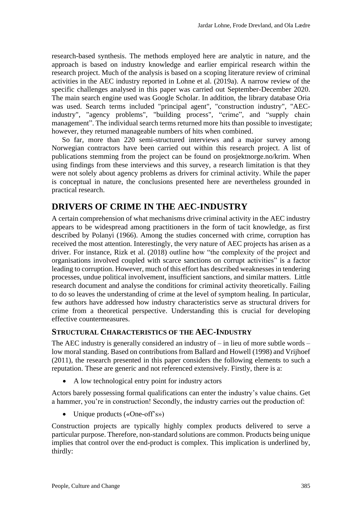research-based synthesis. The methods employed here are analytic in nature, and the approach is based on industry knowledge and earlier empirical research within the research project. Much of the analysis is based on a scoping literature review of criminal activities in the AEC industry reported in Lohne et al. (2019a). A narrow review of the specific challenges analysed in this paper was carried out September-December 2020. The main search engine used was Google Scholar. In addition, the library database Oria was used. Search terms included "principal agent", "construction industry", "AECindustry", "agency problems", "building process", "crime", and "supply chain management". The individual search terms returned more hits than possible to investigate; however, they returned manageable numbers of hits when combined.

So far, more than 220 semi-structured interviews and a major survey among Norwegian contractors have been carried out within this research project. A list of publications stemming from the project can be found on prosjektnorge.no/krim. When using findings from these interviews and this survey, a research limitation is that they were not solely about agency problems as drivers for criminal activity. While the paper is conceptual in nature, the conclusions presented here are nevertheless grounded in practical research.

### **DRIVERS OF CRIME IN THE AEC-INDUSTRY**

A certain comprehension of what mechanisms drive criminal activity in the AEC industry appears to be widespread among practitioners in the form of tacit knowledge, as first described by Polanyi (1966). Among the studies concerned with crime, corruption has received the most attention. Interestingly, the very nature of AEC projects has arisen as a driver. For instance, Rizk et al. (2018) outline how "the complexity of the project and organisations involved coupled with scarce sanctions on corrupt activities" is a factor leading to corruption. However, much of this effort has described weaknesses in tendering processes, undue political involvement, insufficient sanctions, and similar matters. Little research document and analyse the conditions for criminal activity theoretically. Failing to do so leaves the understanding of crime at the level of symptom healing. In particular, few authors have addressed how industry characteristics serve as structural drivers for crime from a theoretical perspective. Understanding this is crucial for developing effective countermeasures.

#### **STRUCTURAL CHARACTERISTICS OF THE AEC-INDUSTRY**

The AEC industry is generally considered an industry of – in lieu of more subtle words – low moral standing. Based on contributions from Ballard and Howell (1998) and Vrijhoef (2011), the research presented in this paper considers the following elements to such a reputation. These are generic and not referenced extensively. Firstly, there is a:

• A low technological entry point for industry actors

Actors barely possessing formal qualifications can enter the industry's value chains. Get a hammer, you're in construction! Secondly, the industry carries out the production of:

• Unique products («One-off's»)

Construction projects are typically highly complex products delivered to serve a particular purpose. Therefore, non-standard solutions are common. Products being unique implies that control over the end-product is complex. This implication is underlined by, thirdly: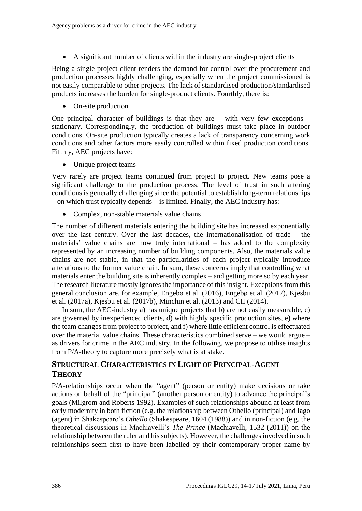• A significant number of clients within the industry are single-project clients

Being a single-project client renders the demand for control over the procurement and production processes highly challenging, especially when the project commissioned is not easily comparable to other projects. The lack of standardised production/standardised products increases the burden for single-product clients. Fourthly, there is:

• On-site production

One principal character of buildings is that they are – with very few exceptions – stationary. Correspondingly, the production of buildings must take place in outdoor conditions. On-site production typically creates a lack of transparency concerning work conditions and other factors more easily controlled within fixed production conditions. Fifthly, AEC projects have:

Unique project teams

Very rarely are project teams continued from project to project. New teams pose a significant challenge to the production process. The level of trust in such altering conditions is generally challenging since the potential to establish long-term relationships – on which trust typically depends – is limited. Finally, the AEC industry has:

• Complex, non-stable materials value chains

The number of different materials entering the building site has increased exponentially over the last century. Over the last decades, the internationalisation of trade – the materials' value chains are now truly international – has added to the complexity represented by an increasing number of building components. Also, the materials value chains are not stable, in that the particularities of each project typically introduce alterations to the former value chain. In sum, these concerns imply that controlling what materials enter the building site is inherently complex – and getting more so by each year. The research literature mostly ignores the importance of this insight. Exceptions from this general conclusion are, for example, Engebø et al. (2016), Engebø et al. (2017), Kjesbu et al. (2017a), Kjesbu et al. (2017b), Minchin et al. (2013) and CII (2014).

In sum, the AEC-industry a) has unique projects that b) are not easily measurable, c) are governed by inexperienced clients, d) with highly specific production sites, e) where the team changes from project to project, and f) where little efficient control is effectuated over the material value chains. These characteristics combined serve – we would argue – as drivers for crime in the AEC industry. In the following, we propose to utilise insights from P/A-theory to capture more precisely what is at stake.

#### **STRUCTURAL CHARACTERISTICS IN LIGHT OF PRINCIPAL-AGENT THEORY**

P/A-relationships occur when the ["agent"](https://en.wikipedia.org/wiki/Agent_(economics)) (person or entity) make decisions or take actions on behalf of the ["principal"](https://en.wikipedia.org/wiki/Principal_(commercial_law)) (another person or entity) to advance the principal's goals (Milgrom and Roberts [1992\)](https://link.springer.com/article/10.1007/s10551-017-3466-x?wt_mc=alerts.TOCjournals&utm_source=toc&utm_medium=email&utm_campaign=toc_10551_154_1#CR62). Examples of such relationships abound at least from early modernity in both fiction (e.g. the relationship between Othello (principal) and Iago (agent) in Shakespeare's *Othello* (Shakespeare, 1604 (1988)) and in non-fiction (e.g. the theoretical discussions in Machiavelli's *The Prince* (Machiavelli, 1532 (2011)) on the relationship between the ruler and his subjects). However, the challenges involved in such relationships seem first to have been labelled by their contemporary proper name by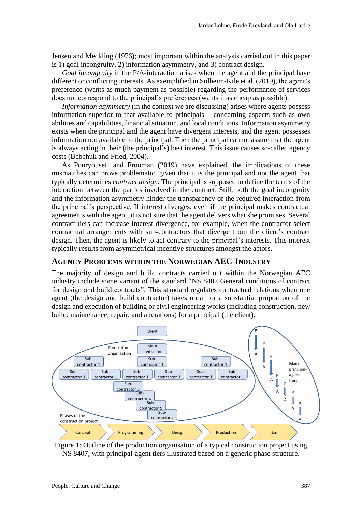Jensen and Meckling (1976); most important within the analysis carried out in this paper is 1) goal incongruity, 2) information asymmetry, and 3) contract design.

*Goal incongruity* in the P/A-interaction arises when the agent and the principal have different or conflicting interests. As exemplified in Solheim-Kile et al. (2019), the agent's preference (wants as much payment as possible) regarding the performance of services does not correspond to the principal's preferences (wants it as cheap as possible).

*Information asymmetry* (in the context we are discussing) arises where agents possess information superior to that available to principals – concerning aspects such as own abilities and capabilities, financial situation, and local conditions. Information asymmetry exists when the principal and the agent have divergent interests, and the agent possesses information not available to the principal. Then the principal cannot assure that the agent is always acting in their (the principal's) best interest. This issue causes so-called [agency](https://en.wikipedia.org/wiki/Agency_costs)  [costs](https://en.wikipedia.org/wiki/Agency_costs) (Bebchuk and Fried, 2004).

As Pouryousefi and Frooman (2019) have explained, the implications of these mismatches can prove problematic, given that it is the principal and not the agent that typically determines *contract design*. The principal is supposed to define the terms of the interaction between the parties involved in the contract. Still, both the goal incongruity and the information asymmetry hinder the transparency of the required interaction from the principal's perspective. If interest diverges, even if the principal makes contractual agreements with the agent, it is not sure that the agent delivers what she promises. Several contract tiers can increase interest divergence, for example, when the contractor select contractual arrangements with sub-contractors that diverge from the client's contract design. Then, the agent is likely to act contrary to the principal's interests. This interest typically results from asymmetrical incentive structures amongst the actors.

#### **AGENCY PROBLEMS WITHIN THE NORWEGIAN AEC-INDUSTRY**

The majority of design and build contracts carried out within the Norwegian AEC industry include some variant of the standard "NS 8407 General conditions of contract for design and build contracts". This standard regulates contractual relations when one agent (the design and build contractor) takes on all or a substantial proportion of the design and execution of building or civil engineering works (including construction, new build, maintenance, repair, and alterations) for a principal (the client).



Figure 1: Outline of the production organisation of a typical construction project using NS 8407, with principal-agent tiers illustrated based on a generic phase structure.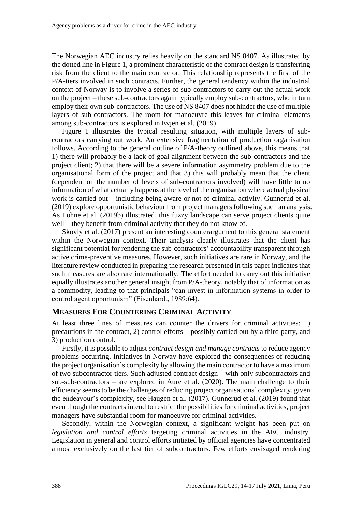The Norwegian AEC industry relies heavily on the standard NS 8407. As illustrated by the dotted line in Figure 1, a prominent characteristic of the contract design is transferring risk from the client to the main contractor. This relationship represents the first of the P/A-tiers involved in such contracts. Further, the general tendency within the industrial context of Norway is to involve a series of sub-contractors to carry out the actual work on the project – these sub-contractors again typically employ sub-contractors, who in turn employ their own sub-contractors. The use of NS 8407 does not hinder the use of multiple layers of sub-contractors. The room for manoeuvre this leaves for criminal elements among sub-contractors is explored in Evjen et al. (2019).

Figure 1 illustrates the typical resulting situation, with multiple layers of subcontractors carrying out work. An extensive fragmentation of production organisation follows. According to the general outline of P/A-theory outlined above, this means that 1) there will probably be a lack of goal alignment between the sub-contractors and the project client; 2) that there will be a severe information asymmetry problem due to the organisational form of the project and that 3) this will probably mean that the client (dependent on the number of levels of sub-contractors involved) will have little to no information of what actually happens at the level of the organisation where actual physical work is carried out – including being aware or not of criminal activity. Gunnerud et al. (2019) explore opportunistic behaviour from project managers following such an analysis. As Lohne et al. (2019b) illustrated, this fuzzy landscape can serve project clients quite well – they benefit from criminal activity that they do not know of.

Skovly et al. (2017) present an interesting counterargument to this general statement within the Norwegian context. Their analysis clearly illustrates that the client has significant potential for rendering the sub-contractors' accountability transparent through active crime-preventive measures. However, such initiatives are rare in Norway, and the literature review conducted in preparing the research presented in this paper indicates that such measures are also rare internationally. The effort needed to carry out this initiative equally illustrates another general insight from P/A-theory, notably that of information as a commodity, leading to that principals "can invest in information systems in order to control agent opportunism" (Eisenhardt, 1989:64).

#### **MEASURES FOR COUNTERING CRIMINAL ACTIVITY**

At least three lines of measures can counter the drivers for criminal activities: 1) precautions in the contract, 2) control efforts – possibly carried out by a third party, and 3) production control.

Firstly, it is possible to adjust *contract design and manage contracts* to reduce agency problems occurring. Initiatives in Norway have explored the consequences of reducing the project organisation's complexity by allowing the main contractor to have a maximum of two subcontractor tiers. Such adjusted contract design – with only subcontractors and sub-sub-contractors – are explored in Aure et al. (2020). The main challenge to their efficiency seems to be the challenges of reducing project organisations' complexity, given the endeavour's complexity, see Haugen et al. (2017). Gunnerud et al. (2019) found that even though the contracts intend to restrict the possibilities for criminal activities, project managers have substantial room for manoeuvre for criminal activities.

Secondly, within the Norwegian context, a significant weight has been put on *legislation and control efforts* targeting criminal activities in the AEC industry. Legislation in general and control efforts initiated by official agencies have concentrated almost exclusively on the last tier of subcontractors. Few efforts envisaged rendering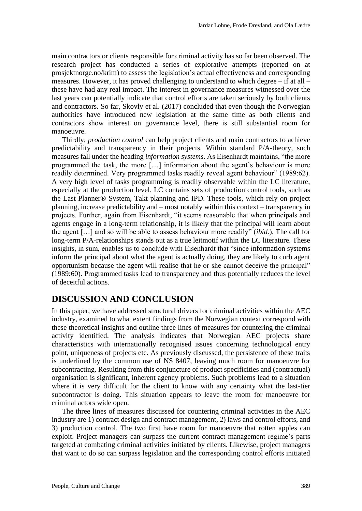main contractors or clients responsible for criminal activity has so far been observed. The research project has conducted a series of explorative attempts (reported on at prosjektnorge.no/krim) to assess the legislation's actual effectiveness and corresponding measures. However, it has proved challenging to understand to which degree – if at all – these have had any real impact. The interest in governance measures witnessed over the last years can potentially indicate that control efforts are taken seriously by both clients and contractors. So far, Skovly et al. (2017) concluded that even though the Norwegian authorities have introduced new legislation at the same time as both clients and contractors show interest on governance level, there is still substantial room for manoeuvre.

Thirdly, *production control* can help project clients and main contractors to achieve predictability and transparency in their projects. Within standard P/A-theory, such measures fall under the heading *information systems*. As Eisenhardt maintains, "the more programmed the task, the more […] information about the agent's behaviour is more readily determined. Very programmed tasks readily reveal agent behaviour" (1989:62). A very high level of tasks programming is readily observable within the LC literature, especially at the production level. LC contains sets of production control tools, such as the Last Planner® System, Takt planning and IPD. These tools, which rely on project planning, increase predictability and – most notably within this context – transparency in projects. Further, again from Eisenhardt, "it seems reasonable that when principals and agents engage in a long-term relationship, it is likely that the principal will learn about the agent […] and so will be able to assess behaviour more readily" (*ibid.*). The call for long-term P/A-relationships stands out as a true leitmotif within the LC literature. These insights, in sum, enables us to conclude with Eisenhardt that "since information systems inform the principal about what the agent is actually doing, they are likely to curb agent opportunism because the agent will realise that he or she cannot deceive the principal" (1989:60). Programmed tasks lead to transparency and thus potentially reduces the level of deceitful actions.

### **DISCUSSION AND CONCLUSION**

In this paper, we have addressed structural drivers for criminal activities within the AEC industry, examined to what extent findings from the Norwegian context correspond with these theoretical insights and outline three lines of measures for countering the criminal activity identified. The analysis indicates that Norwegian AEC projects share characteristics with internationally recognised issues concerning technological entry point, uniqueness of projects etc. As previously discussed, the persistence of these traits is underlined by the common use of NS 8407, leaving much room for manoeuvre for subcontracting. Resulting from this conjuncture of product specificities and (contractual) organisation is significant, inherent agency problems. Such problems lead to a situation where it is very difficult for the client to know with any certainty what the last-tier subcontractor is doing. This situation appears to leave the room for manoeuvre for criminal actors wide open.

The three lines of measures discussed for countering criminal activities in the AEC industry are 1) contract design and contract management, 2) laws and control efforts, and 3) production control. The two first have room for manoeuvre that rotten apples can exploit. Project managers can surpass the current contract management regime's parts targeted at combating criminal activities initiated by clients. Likewise, project managers that want to do so can surpass legislation and the corresponding control efforts initiated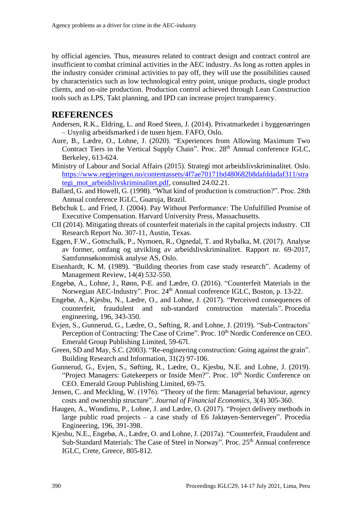by official agencies. Thus, measures related to contract design and contract control are insufficient to combat criminal activities in the AEC industry. As long as rotten apples in the industry consider criminal activities to pay off, they will use the possibilities caused by characteristics such as low technological entry point, unique products, single product clients, and on-site production. Production control achieved through Lean Construction tools such as LPS, Takt planning, and IPD can increase project transparency.

#### **REFERENCES**

- Andersen, R.K., Eldring, L. and Roed Steen, J. (2014). Privatmarkedet i byggenæringen – Usynlig arbeidsmarked i de tusen hjem. FAFO, Oslo.
- Aure, B., Lædre, O., Lohne, J. (2020). "Experiences from Allowing Maximum Two Contract Tiers in the Vertical Supply Chain". Proc. 28<sup>th</sup> Annual conference IGLC, Berkeley, 613-624.
- Ministry of Labour and Social Affairs (2015). Strategi mot arbeidslivskriminalitet. Oslo. [https://www.regjeringen.no/contentassets/4f7ae70171bd480682b8dafddadaf311/stra](https://www.regjeringen.no/contentassets/4f7ae70171bd480682b8dafddadaf311/strategi_mot_arbeidslivskriminalitet.pdf) [tegi\\_mot\\_arbeidslivskriminalitet.pdf,](https://www.regjeringen.no/contentassets/4f7ae70171bd480682b8dafddadaf311/strategi_mot_arbeidslivskriminalitet.pdf) consulted 24.02.21.
- Ballard, G. and Howell, G. (1998). "What kind of production is construction?". Proc. 28th Annual conference IGLC, Guaruja, Brazil.
- Bebchuk L. and Fried, J. (2004). Pay Without Performance: The Unfulfilled Promise of Executive Compensation. Harvard University Press, Massachusetts.
- CII (2014). Mitigating threats of counterfeit materials in the capital projects industry. CII Research Report No. 307-11, Austin, Texas.
- Eggen, F.W., Gottschalk, P., Nymoen, R., Ognedal, T. and Rybalka, M. (2017). Analyse av former, omfang og utvikling av arbeidslivskriminalitet. Rapport nr. 69-2017, Samfunnsøkonomisk analyse AS, Oslo.
- Eisenhardt, K. M. (1989). "Building theories from case study research". Academy of Management Review, 14(4) 532-550.
- Engebø, A., Lohne, J., Rønn, P-E. and Lædre, O. (2016). "Counterfeit Materials in the Norwegian AEC-Industry". Proc. 24<sup>th</sup> Annual conference IGLC, Boston, p. 13-22.
- Engebø, A., Kjesbu, N., Lædre, O., and Lohne, J. (2017). "Perceived consequences of counterfeit, fraudulent and sub-standard construction materials". Procedia engineering, 196, 343-350.
- Evjen, S., Gunnerud, G., Lædre, O., Søfting, R. and Lohne, J. (2019). "Sub-Contractors' Perception of Contracting: The Case of Crime". Proc.  $10^{th}$  Nordic Conference on CEO. Emerald Group Publishing Limited, 59-67l.
- Green, SD and May, S.C. (2003). "Re-engineering construction: Going against the grain". Building Research and Information, 31(2) 97-106.
- Gunnerud, G., Evjen, S., Søfting, R., Lædre, O., Kjesbu, N.E. and Lohne, J. (2019). "Project Managers: Gatekeepers or Inside Men?". Proc.  $10<sup>th</sup>$  Nordic Conference on CEO. Emerald Group Publishing Limited, 69-75.
- Jensen, C. and Meckling, W. (1976). "Theory of the firm: Managerial behaviour, agency costs and ownership structure". *Journal of Financial Economics*, 3(4) 305-360.
- Haugen, A., Wondimu, P., Lohne, J. and Lædre, O. (2017). "Project delivery methods in large public road projects – a case study of E6 Jaktøyen-Sentervegen". Procedia Engineering, 196, 391-398.
- Kjesbu, N.E., Engebø, A., Lædre, O. and Lohne, J. (2017a). "Counterfeit, Fraudulent and Sub-Standard Materials: The Case of Steel in Norway". Proc. 25<sup>th</sup> Annual conference IGLC, Crete, Greece, 805-812.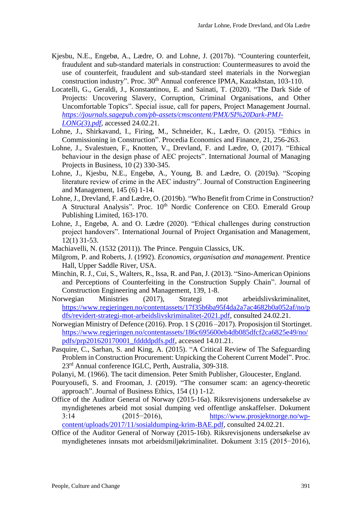- Kjesbu, N.E., Engebø, A., Lædre, O. and Lohne, J. (2017b). "Countering counterfeit, fraudulent and sub-standard materials in construction: Countermeasures to avoid the use of counterfeit, fraudulent and sub-standard steel materials in the Norwegian construction industry". Proc. 30<sup>th</sup> Annual conference IPMA, Kazakhstan, 103-110.
- Locatelli, G., Geraldi, J., Konstantinou, E. and Sainati, T. (2020). "The Dark Side of Projects: Uncovering Slavery, Corruption, Criminal Organisations, and Other Uncomfortable Topics". Special issue, call for papers, Project Management Journal. *[https://journals.sagepub.com/pb-assets/cmscontent/PMX/SI%20Dark-PMJ-](https://journals.sagepub.com/pb-assets/cmscontent/PMX/SI%20Dark-PMJ-LONG(3).pdf)[LONG\(3\).pdf](https://journals.sagepub.com/pb-assets/cmscontent/PMX/SI%20Dark-PMJ-LONG(3).pdf)*, accessed 24.02.21.
- Lohne, J., Shirkavand, I., Firing, M., Schneider, K., Lædre, O. (2015). "Ethics in Commissioning in Construction". Procedia Economics and Finance, 21, 256-263.
- Lohne, J., Svalestuen, F., Knotten, V., Drevland, F. and Lædre, O, (2017). "Ethical behaviour in the design phase of AEC projects". International Journal of Managing Projects in Business, 10 (2) 330-345.
- Lohne, J., Kjesbu, N.E., Engebø, A., Young, B. and Lædre, O. (2019a). "Scoping literature review of crime in the AEC industry". Journal of Construction Engineering and Management, 145 (6) 1-14.
- Lohne, J., Drevland, F. and Lædre, O. (2019b). "Who Benefit from Crime in Construction? A Structural Analysis". Proc. 10<sup>th</sup> Nordic Conference on CEO. Emerald Group Publishing Limited, 163-170.
- Lohne, J., Engebø, A. and O. Lædre (2020). "Ethical challenges during construction project handovers". International Journal of Project Organisation and Management, 12(1) 31-53.
- Machiavelli, N. (1532 (2011)). The Prince. Penguin Classics, UK.
- Milgrom, P. and Roberts, J. (1992). *Economics, organisation and management*. Prentice Hall, Upper Saddle River, USA.
- Minchin, R. J., Cui, S., Walters, R., Issa, R. and Pan, J. (2013). "Sino-American Opinions and Perceptions of Counterfeiting in the Construction Supply Chain". Journal of Construction Engineering and Management, 139, 1-8.
- Norwegian Ministries (2017), Strategi mot arbeidslivskriminalitet, [https://www.regjeringen.no/contentassets/17f35b6ba95f4da2a7ac4682b0a052af/no/p](https://www.regjeringen.no/contentassets/17f35b6ba95f4da2a7ac4682b0a052af/no/pdfs/revidert-strategi-mot-arbeidslivskriminalitet-2021.pdf) [dfs/revidert-strategi-mot-arbeidslivskriminalitet-2021.pdf,](https://www.regjeringen.no/contentassets/17f35b6ba95f4da2a7ac4682b0a052af/no/pdfs/revidert-strategi-mot-arbeidslivskriminalitet-2021.pdf) consulted 24.02.21.
- Norwegian Ministry of Defence (2016). Prop. 1 S (2016 –2017). Proposisjon til Stortinget. [https://www.regjeringen.no/contentassets/186c695600eb4db085dfcf2ca6825e49/no/](https://www.regjeringen.no/contentassets/186c695600eb4db085dfcf2ca6825e49/no/pdfs/prp201620170001_fddddpdfs.pdf) [pdfs/prp201620170001\\_fddddpdfs.pdf,](https://www.regjeringen.no/contentassets/186c695600eb4db085dfcf2ca6825e49/no/pdfs/prp201620170001_fddddpdfs.pdf) accessed 14.01.21.
- Pasquire, C., Sarhan, S. and King, A. (2015). "A Critical Review of The Safeguarding Problem in Construction Procurement: Unpicking the Coherent Current Model". Proc. 23<sup>rd</sup> Annual conference IGLC, Perth, Australia, 309-318.
- Polanyi, M. (1966). The tacit dimension. Peter Smith Publisher, Gloucester, England.
- Pouryousefi, S. and Frooman, J. (2019). "The consumer scam: an agency-theoretic approach". Journal of Business Ethics, 154 (1) 1-12.
- Office of the Auditor General of Norway (2015-16a). Riksrevisjonens undersøkelse av myndighetenes arbeid mot sosial dumping ved offentlige anskaffelser. Dokument 3:14 (2015−2016), [https://www.prosjektnorge.no/wp](https://www.prosjektnorge.no/wp-content/uploads/2017/11/sosialdumping-krim-BAE.pdf)[content/uploads/2017/11/sosialdumping-krim-BAE.pdf,](https://www.prosjektnorge.no/wp-content/uploads/2017/11/sosialdumping-krim-BAE.pdf) consulted 24.02.21.
- Office of the Auditor General of Norway (2015-16b). Riksrevisjonens undersøkelse av myndighetenes innsats mot arbeidsmiljøkriminalitet. Dokument 3:15 (2015−2016),